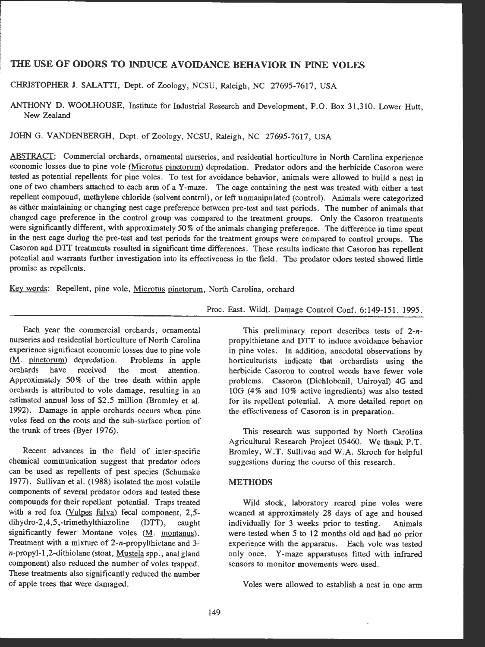# THE USE OF ODORS TO INDUCE AVOIDANCE BEHAVIOR IN PINE VOLES

CHRISTOPHER J. SALATII, Dept. of Zoology, NCSU, Raleigh, NC 27695-7617, USA

ANTHONY D. WOOLHOUSE, Institute for Industrial Research and Development, P.O . Box 31,310. Lower Hutt, New Zealand

JOHN G. VANDENBERGH, Dept. of Zoology, NCSU, Raleigh, NC 27695-7617, USA

ABSTRACT: Commercial orchards, ornamental nurseries, and residential horticulture in North Carolina experience economic losses due to pine vole (Microtus pinetorum) depredation. Predator odors and the herbicide Casoron were tested as potential repellents for pine voles. To test for avoidance behavior, animals were allowed to build a nest in one of two chambers attached to each arm of a Y-maze. The cage containing the nest was treated with either a test repellent compound, methylene chloride (solvent control), or left unmanipulated (control). Animals were categorized as either maintaining or changing nest cage preference between pre-test and test periods . The number of animals that changed cage preference in the control group was compared to the treatment groups. Only the Casoron treatments were significantly different, with approximately 50% of the animals changing preference. The difference in time spent in the nest cage during the pre-test and test periods for the treatment groups were compared to control groups. The Casoron and OTT treatments resulted in significant time differences. These results indicate that Casoron has repellent potential and warrants further investigation into its effectiveness in the field . The predator odors tested showed little promise as repellents.

Key words: Repellent, pine vole, Microtus pinetorum, North Carolina, orchard

Proc. East. Wild!. Damage Control Conf. 6:149-151. 1995.

Each year the commercial orchards, ornamental nurseries and residential horticulture of North Carolina experience significant economic losses due to pine vole (M. pinetorum) depredation. Problems in apple orchards have received the most attention. Approximately 50% of the tree death within apple orchards is attributed to vole damage, resulting in an estimated annual loss of \$2.5 million (Bromley et al. 1992). Damage in apple orchards occurs when pine voles feed on the roots and the sub-surface portion of the trunk of trees (Byer 1976).

Recent advances in the field of inter-specific chemical communication suggest that predator odors can be used as repellents of pest species (Schumake 1977). Sullivan et al. (1988) isolated the most volatile components of several predator odors and tested these compounds for their repellent potential. Traps treated with a red fox (Vulpes fulva) fecal component, 2,5 dihydro-2,4,5 ,-trimethylthiazoline (OTT), caught significantly fewer Montane voles  $(M.$  montanus). Treatment with a mixture of 2-n-propylthietane and 3 n-propyl-1,2-dithiolane (stoat, Mustela spp., anal gland component) also reduced the number of voles trapped. These treatments also significantly reduced the number of apple trees that were damaged.

This preliminary report describes tests of *2-n*propylthietane and DTT to induce avoidance behavior in pine voles. In addition, anecdotal observations by horticulturists indicate that orchardists using the herbicide Casoron to control weeds have fewer vole problems. Casoron (Dichlobenil, Uniroyal) 4G and IOG (4% and 10% active ingredients) was also tested for its repellent potential. A more detailed report on the effectiveness of Casoron is in preparation.

This research was supported by North Carolina Agricultural Research Project 05460. We thank P.T. Bromley, W.T. Sullivan and W.A. Skroch for helpful suggestions during the evurse of this research.

### **METHODS**

Wild stock, laboratory reared pine voles were weaned at approximately 28 days of age and housed individually for 3 weeks prior to testing. Animals were tested when 5 to 12 months old and had no prior experience with the apparatus. Each vole was tested only once. Y-maze apparatuses fitted with infrared sensors to monitor movements were used.

Voles were allowed to establish a nest in one arm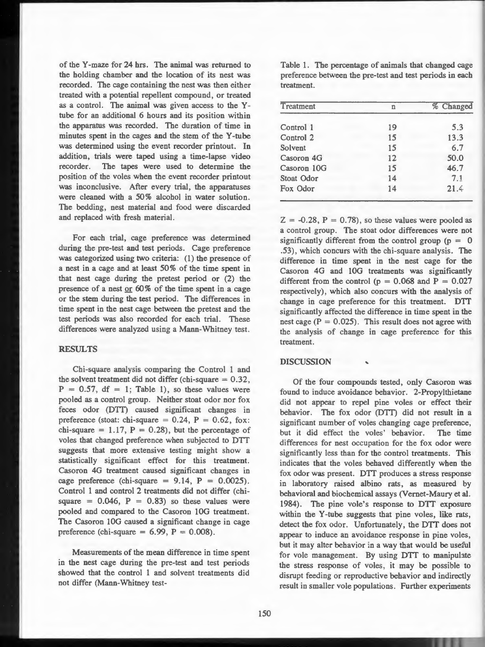of the Y-maze for 24 hrs. The animal was returned to the holding chamber and the location of its nest was recorded. The cage containing the nest was then either treated with a potential repellent compound, or treated as a control. The animal was given access to the Ytube for an additional 6 hours and its position within the apparatus was recorded. The duration of time in minutes spent in the cages and the stem of the Y-tube was determined using the event recorder printout. In addition, trials were taped using a time-lapse video recorder. The tapes were used to determine the position of the voles when the event recorder printout was inconclusive. After every trial, the apparatuses were cleaned with a 50% alcohol in water solution. The bedding, nest material and food were discarded and replaced with fresh material.

For each trial, cage preference was determined during the pre-test and test periods. Cage preference was categorized using two criteria: (1) the presence of a nest in a cage and at least 50% of the time spent in that nest cage during the pretest period or (2) the presence of a nest or 60% of the time spent in a cage or the stem during the test period. The differences in time spent in the nest cage between the pretest and the test periods was also recorded for each trial. These differences were analyzed using a Mann-Whitney test.

#### **RESULTS**

Chi-square analysis comparing the Control 1 and the solvent treatment did not differ (chi-square  $= 0.32$ ,  $P = 0.57$ , df = 1; Table 1), so these values were pooled as a control group. Neither stoat odor nor fox feces odor (OTT) caused significant changes in preference (stoat: chi-square =  $0.24$ ,  $P = 0.62$ , fox: chi-square = 1.17,  $P = 0.28$ ), but the percentage of voles that changed preference when subjected to DTT suggests that more extensive testing might show a statistically significant effect for this treatment. Casoron 4G treatment caused significant changes in cage preference (chi-square =  $9.14$ ,  $P = 0.0025$ ). Control 1 and control 2 treatments did not differ (chisquare =  $0.046$ ,  $P = 0.83$ ) so these values were pooled and compared to the Casoron 10G treatment. The Casoron 10G caused a significant change in cage preference (chi-square =  $6.99$ ,  $P = 0.008$ ).

Measurements of the mean difference in time spent in the nest cage during the pre-test and test periods showed that the control 1 and solvent treatments did not differ (Mann-Whitney test-

Table 1. The percentage of animals that changed cage preference between the pre-test and test periods in each treatment.

| n  | % Changed |
|----|-----------|
| 19 | 5.3       |
| 15 | 13.3      |
| 15 | 6.7       |
| 12 | 50.0      |
| 15 | 46.7      |
| 14 | 7.1       |
| 14 | 21.4      |
|    |           |

 $Z = -0.28$ ,  $P = 0.78$ , so these values were pooled as a control group. The stoat odor differences were not significantly different from the control group ( $p = 0$ ) .53), which concurs with the chi-square analysis. The difference in time spent in the nest cage for the Casoron 4G and lOG treatments was significantly different from the control ( $p = 0.068$  and  $P = 0.027$ respectively), which also concurs with the analysis of change in cage preference for this treatment. DTT significantly affected the difference in time spent in the nest cage  $(P = 0.025)$ . This result does not agree with the analysis of change in cage preference for this treatment.

### **DISCUSSION** ,

Of the four compounds tested, only Casoron was found to induce avoidance behavior. 2-Propylthietane did not appear to repel pine voles or effect their behavior. The fox odor (OTT) did not result in a significant number of voles changing cage preference, but it did effect the voles' behavior. The time differences for nest occupation for the fox odor were significantly less than for the control treatments. This indicates that the voles behaved differently when the fox odor was present. OTT produces a stress response in laboratory raised albino rats, as measured by behavioral and biochemical assays (Vernet-Maury et al. 1984). The pine vole's response to DIT exposure within the Y-tube suggests that pine voles, like rats, detect the fox odor. Unfortunately, the DTT does not appear to induce an avoidance response in pine voles, but it may alter behavior in a way that would be useful for vole management. By using DTT to manipulate the stress response of voles, it may be possible to disrupt feeding or reproductive behavior and indirectly result in smaller vole populations. Further experiments